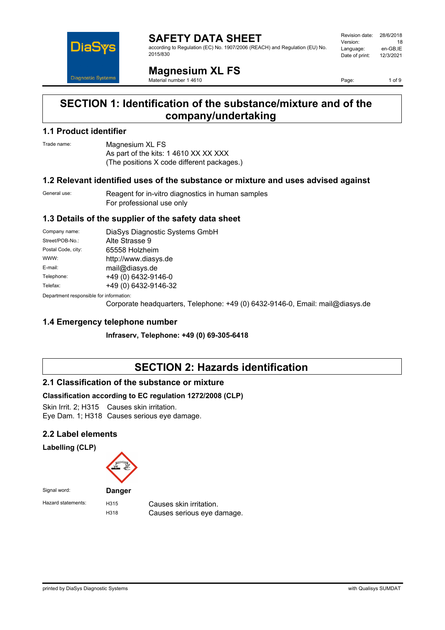

**SAFETY DATA SHEET** according to Regulation (EC) No. 1907/2006 (REACH) and Regulation (EU) No. 2015/830

Revision date: 28/6/2018 Version: 18<br>Language: en-GB.IE Language: en-GB,IE<br>Date of print: 12/3/2021 Date of print:

**Magnesium XL FS** Material number 1 4610

Page: 1 of 9

## **SECTION 1: Identification of the substance/mixture and of the company/undertaking**

## **1.1 Product identifier**

Trade name: Magnesium XL FS As part of the kits: 1 4610 XX XX XXX (The positions X code different packages.)

### **1.2 Relevant identified uses of the substance or mixture and uses advised against**

General use: Reagent for in-vitro diagnostics in human samples For professional use only

## **1.3 Details of the supplier of the safety data sheet**

| Company name:                                             | DiaSys Diagnostic Systems GmbH |
|-----------------------------------------------------------|--------------------------------|
| Street/POB-No.:                                           | Alte Strasse 9                 |
| Postal Code, city:                                        | 65558 Holzheim                 |
| WWW:                                                      | http://www.diasys.de           |
| E-mail:                                                   | mail@diasys.de                 |
| Telephone:                                                | +49 (0) 6432-9146-0            |
| Telefax:                                                  | +49 (0) 6432-9146-32           |
| Description of the control of the first of control to the |                                |

Department responsible for information:

Corporate headquarters, Telephone: +49 (0) 6432-9146-0, Email: mail@diasys.de

### **1.4 Emergency telephone number**

**Infraserv, Telephone: +49 (0) 69-305-6418**

## **SECTION 2: Hazards identification**

### **2.1 Classification of the substance or mixture**

### **Classification according to EC regulation 1272/2008 (CLP)**

Skin Irrit. 2; H315 Causes skin irritation. Eye Dam. 1; H318 Causes serious eye damage.

## **2.2 Label elements**

**Labelling (CLP)**



Hazard statements: H315 Causes skin irritation.<br>H318 Causes serious eve d Causes serious eye damage.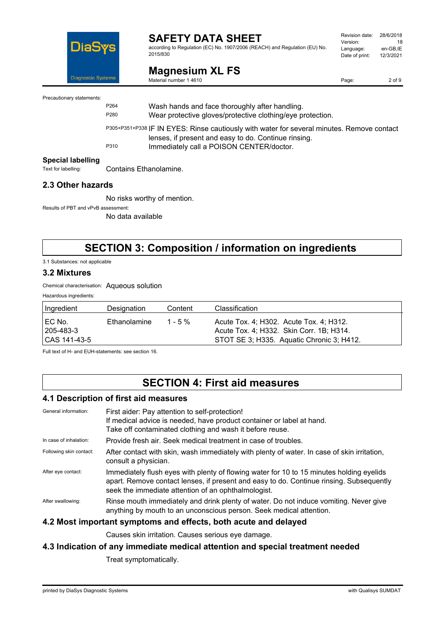

according to Regulation (EC) No. 1907/2006 (REACH) and Regulation (EU) No. 2015/830

| Revision date: | 28/6/2018 |
|----------------|-----------|
| Version:       | 18        |
| Language:      | en-GB,IE  |
| Date of print: | 12/3/2021 |
|                |           |

## **Magnesium XL FS**

Material number 1 4610

Page: 2 of 9

Precautionary statements:

| P264 | Wash hands and face thoroughly after handling.                                             |
|------|--------------------------------------------------------------------------------------------|
| P280 | Wear protective gloves/protective clothing/eye protection.                                 |
|      | P305+P351+P338 IF IN EYES: Rinse cautiously with water for several minutes. Remove contact |
|      | lenses, if present and easy to do. Continue rinsing.                                       |
| P310 | Immediately call a POISON CENTER/doctor.                                                   |

# **Special labelling**<br>Text for labelling:

Contains Ethanolamine.

#### **2.3 Other hazards**

No risks worthy of mention.

Results of PBT and vPvB assessment:

No data available

## **SECTION 3: Composition / information on ingredients**

#### 3.1 Substances: not applicable

#### **3.2 Mixtures**

Chemical characterisation: Aqueous solution

#### Hazardous ingredients:

| Ingredient                            | Designation  | Content   | Classification                                                                                                                   |
|---------------------------------------|--------------|-----------|----------------------------------------------------------------------------------------------------------------------------------|
| I EC No.<br>205-483-3<br>CAS 141-43-5 | Ethanolamine | $1 - 5\%$ | Acute Tox. 4; H302. Acute Tox. 4; H312.<br>Acute Tox. 4; H332. Skin Corr. 1B; H314.<br>STOT SE 3; H335. Aquatic Chronic 3; H412. |

Full text of H- and EUH-statements: see section 16.

## **SECTION 4: First aid measures**

#### **4.1 Description of first aid measures**

| General information:    | First aider: Pay attention to self-protection!<br>If medical advice is needed, have product container or label at hand.<br>Take off contaminated clothing and wash it before reuse.                                                        |
|-------------------------|--------------------------------------------------------------------------------------------------------------------------------------------------------------------------------------------------------------------------------------------|
| In case of inhalation:  | Provide fresh air. Seek medical treatment in case of troubles.                                                                                                                                                                             |
| Following skin contact: | After contact with skin, wash immediately with plenty of water. In case of skin irritation,<br>consult a physician.                                                                                                                        |
| After eye contact:      | Immediately flush eyes with plenty of flowing water for 10 to 15 minutes holding eyelids<br>apart. Remove contact lenses, if present and easy to do. Continue rinsing. Subsequently<br>seek the immediate attention of an ophthalmologist. |
| After swallowing:       | Rinse mouth immediately and drink plenty of water. Do not induce vomiting. Never give<br>anything by mouth to an unconscious person. Seek medical attention.                                                                               |
|                         | A 2 Meet important symptoms and offects, both acute and delayed                                                                                                                                                                            |

#### **4.2 Most important symptoms and effects, both acute and delayed**

Causes skin irritation. Causes serious eye damage.

#### **4.3 Indication of any immediate medical attention and special treatment needed**

Treat symptomatically.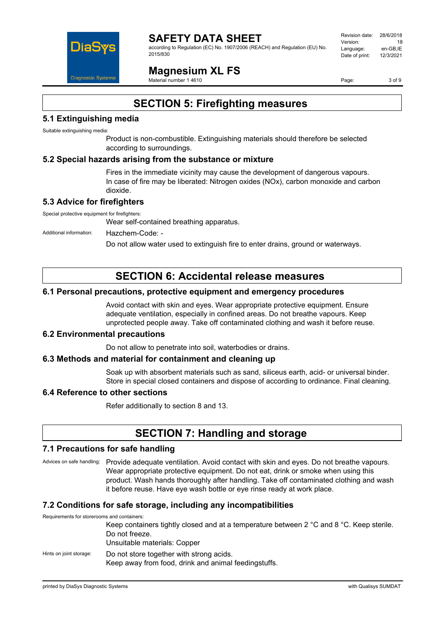

#### **SAFETY DATA SHEET** according to Regulation (EC) No. 1907/2006 (REACH) and Regulation (EU) No. 2015/830

Revision date: 28/6/2018 Version: 18<br>Language: en-GB.IE Language: en-GB,IE<br>Date of print: 12/3/2021 Date of print:

## **Magnesium XL FS**

Material number 1 4610

Page: 3 of 9

## **SECTION 5: Firefighting measures**

## **5.1 Extinguishing media**

Suitable extinguishing media:

Product is non-combustible. Extinguishing materials should therefore be selected according to surroundings.

### **5.2 Special hazards arising from the substance or mixture**

Fires in the immediate vicinity may cause the development of dangerous vapours. In case of fire may be liberated: Nitrogen oxides (NOx), carbon monoxide and carbon dioxide.

## **5.3 Advice for firefighters**

Special protective equipment for firefighters:

Wear self-contained breathing apparatus.

Additional information: Hazchem-Code: -

Do not allow water used to extinguish fire to enter drains, ground or waterways.

## **SECTION 6: Accidental release measures**

### **6.1 Personal precautions, protective equipment and emergency procedures**

Avoid contact with skin and eyes. Wear appropriate protective equipment. Ensure adequate ventilation, especially in confined areas. Do not breathe vapours. Keep unprotected people away. Take off contaminated clothing and wash it before reuse.

#### **6.2 Environmental precautions**

Do not allow to penetrate into soil, waterbodies or drains.

#### **6.3 Methods and material for containment and cleaning up**

Soak up with absorbent materials such as sand, siliceus earth, acid- or universal binder. Store in special closed containers and dispose of according to ordinance. Final cleaning.

#### **6.4 Reference to other sections**

Refer additionally to section 8 and 13.

## **SECTION 7: Handling and storage**

#### **7.1 Precautions for safe handling**

Advices on safe handling: Provide adequate ventilation. Avoid contact with skin and eyes. Do not breathe vapours. Wear appropriate protective equipment. Do not eat, drink or smoke when using this product. Wash hands thoroughly after handling. Take off contaminated clothing and wash it before reuse. Have eye wash bottle or eye rinse ready at work place.

### **7.2 Conditions for safe storage, including any incompatibilities**

Requirements for storerooms and containers:

Keep containers tightly closed and at a temperature between 2 °C and 8 °C. Keep sterile. Do not freeze.

Unsuitable materials: Copper

Hints on joint storage: Do not store together with strong acids.

Keep away from food, drink and animal feedingstuffs.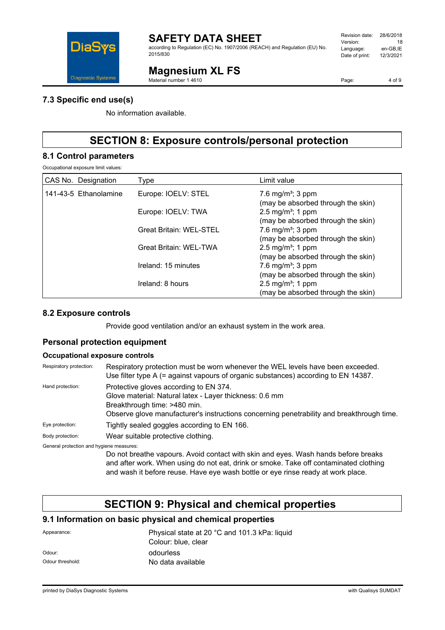

according to Regulation (EC) No. 1907/2006 (REACH) and Regulation (EU) No. 2015/830

## **Magnesium XL FS**

Material number 1 4610

Page: 4 of 9

## **7.3 Specific end use(s)**

No information available.

## **SECTION 8: Exposure controls/personal protection**

### **8.1 Control parameters**

Occupational exposure limit values:

| CAS No. Designation   | Type                           | Limit value                                                           |
|-----------------------|--------------------------------|-----------------------------------------------------------------------|
| 141-43-5 Ethanolamine | Europe: IOELV: STEL            | 7.6 mg/m <sup>3</sup> ; 3 ppm                                         |
|                       | Europe: IOELV: TWA             | (may be absorbed through the skin)<br>$2.5 \,\mathrm{mg/m^3}$ ; 1 ppm |
|                       | <b>Great Britain: WEL-STEL</b> | (may be absorbed through the skin)<br>7.6 mg/m <sup>3</sup> ; 3 ppm   |
|                       |                                | (may be absorbed through the skin)                                    |
|                       | <b>Great Britain: WEL-TWA</b>  | 2.5 mg/m <sup>3</sup> ; 1 ppm<br>(may be absorbed through the skin)   |
|                       | Ireland: 15 minutes            | 7.6 mg/m <sup>3</sup> ; 3 ppm                                         |
|                       |                                | (may be absorbed through the skin)                                    |
|                       | Ireland: 8 hours               | 2.5 mg/m <sup>3</sup> ; 1 ppm                                         |
|                       |                                | (may be absorbed through the skin)                                    |

### **8.2 Exposure controls**

Provide good ventilation and/or an exhaust system in the work area.

### **Personal protection equipment**

#### **Occupational exposure controls**

| Respiratory protection:                  | Respiratory protection must be worn whenever the WEL levels have been exceeded.<br>Use filter type A $(=$ against vapours of organic substances) according to EN 14387.                                                        |
|------------------------------------------|--------------------------------------------------------------------------------------------------------------------------------------------------------------------------------------------------------------------------------|
| Hand protection:                         | Protective gloves according to EN 374.<br>Glove material: Natural latex - Layer thickness: 0.6 mm<br>Breakthrough time: >480 min.<br>Observe glove manufacturer's instructions concerning penetrability and breakthrough time. |
| Eye protection:                          | Tightly sealed goggles according to EN 166.                                                                                                                                                                                    |
| Body protection:                         | Wear suitable protective clothing.                                                                                                                                                                                             |
| General protection and hygiene measures: | Do not breathe vapours. Avoid contact with skin and eyes. Wash hands before breaks                                                                                                                                             |

and after work. When using do not eat, drink or smoke. Take off contaminated clothing and wash it before reuse. Have eye wash bottle or eye rinse ready at work place.

## **SECTION 9: Physical and chemical properties**

### **9.1 Information on basic physical and chemical properties**

| Appearance:      | Physical state at 20 °C and 101.3 kPa: liquid<br>Colour: blue, clear |
|------------------|----------------------------------------------------------------------|
| Odour:           | odourless                                                            |
| Odour threshold: | No data available                                                    |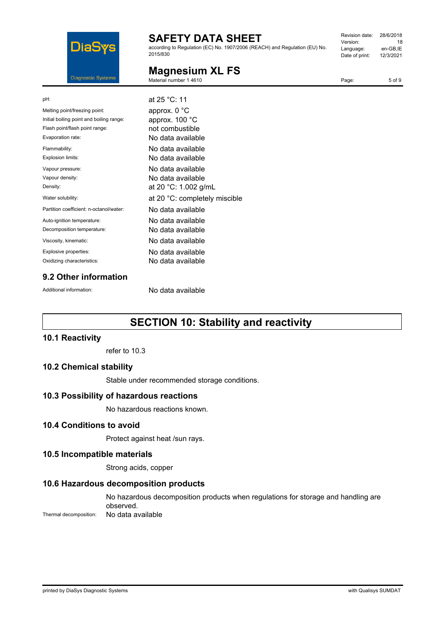

according to Regulation (EC) No. 1907/2006 (REACH) and Regulation (EU) No. 2015/830

| Revision date: | 28/6/2018 |
|----------------|-----------|
| Version:       | 18        |
| Language:      | en-GB,IE  |
| Date of print: | 12/3/2021 |
|                |           |

## **Magnesium XL FS**

Material number 1 4610

Page: 5 of 9

| pH:                                                                                                                              | at 25 °C: 11                                                                     |
|----------------------------------------------------------------------------------------------------------------------------------|----------------------------------------------------------------------------------|
| Melting point/freezing point:<br>Initial boiling point and boiling range:<br>Flash point/flash point range:<br>Evaporation rate: | approx. $0^{\circ}$ C<br>approx. 100 °C<br>not combustible<br>No data available  |
| Flammability:<br>Explosion limits:                                                                                               | No data available<br>No data available                                           |
| Vapour pressure:<br>Vapour density:<br>Density:                                                                                  | No data available<br>No data available<br>at 20 °C: 1.002 g/mL                   |
| Water solubility:                                                                                                                | at 20 °C: completely miscible                                                    |
| Partition coefficient: n-octanol/water:                                                                                          | No data available                                                                |
| Auto-ignition temperature:<br>Decomposition temperature:<br>Viscosity, kinematic:<br>Explosive properties:                       | No data available<br>No data available<br>No data available<br>No data available |
| Oxidizing characteristics:                                                                                                       | No data available                                                                |
|                                                                                                                                  |                                                                                  |

## **9.2 Other information**

Additional information: No data available

## **SECTION 10: Stability and reactivity**

#### **10.1 Reactivity**

refer to 10.3

#### **10.2 Chemical stability**

Stable under recommended storage conditions.

#### **10.3 Possibility of hazardous reactions**

No hazardous reactions known.

### **10.4 Conditions to avoid**

Protect against heat /sun rays.

### **10.5 Incompatible materials**

Strong acids, copper

#### **10.6 Hazardous decomposition products**

No hazardous decomposition products when regulations for storage and handling are observed.

Thermal decomposition: No data available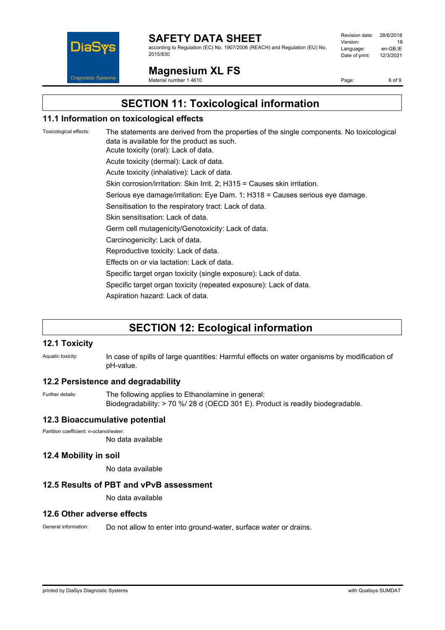

according to Regulation (EC) No. 1907/2006 (REACH) and Regulation (EU) No. 2015/830

Revision date: 28/6/2018 Version: 18<br>Language: en-GB.IE Language: en-GB,IE<br>Date of print: 12/3/2021 Date of print:

## **Magnesium XL FS**

Material number 1 4610

Page: 6 of 9

## **SECTION 11: Toxicological information**

### **11.1 Information on toxicological effects**

Toxicological effects: The statements are derived from the properties of the single components. No toxicological data is available for the product as such. Acute toxicity (oral): Lack of data. Acute toxicity (dermal): Lack of data. Acute toxicity (inhalative): Lack of data. Skin corrosion/irritation: Skin Irrit. 2; H315 = Causes skin irritation. Serious eye damage/irritation: Eye Dam. 1; H318 = Causes serious eye damage. Sensitisation to the respiratory tract: Lack of data. Skin sensitisation: Lack of data. Germ cell mutagenicity/Genotoxicity: Lack of data. Carcinogenicity: Lack of data. Reproductive toxicity: Lack of data. Effects on or via lactation: Lack of data. Specific target organ toxicity (single exposure): Lack of data. Specific target organ toxicity (repeated exposure): Lack of data. Aspiration hazard: Lack of data.

## **SECTION 12: Ecological information**

### **12.1 Toxicity**

Aquatic toxicity: In case of spills of large quantities: Harmful effects on water organisms by modification of pH-value.

### **12.2 Persistence and degradability**

Further details: The following applies to Ethanolamine in general: Biodegradability: > 70 %/ 28 d (OECD 301 E). Product is readily biodegradable.

### **12.3 Bioaccumulative potential**

Partition coefficient: n-octanol/water:

No data available

### **12.4 Mobility in soil**

No data available

#### **12.5 Results of PBT and vPvB assessment**

No data available

#### **12.6 Other adverse effects**

General information: Do not allow to enter into ground-water, surface water or drains.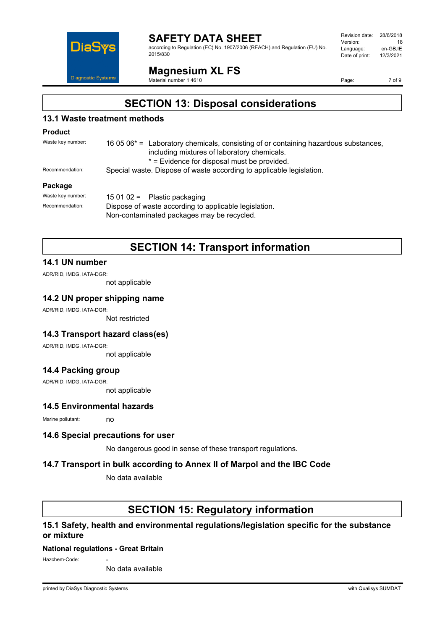

#### **SAFETY DATA SHEET** according to Regulation (EC) No. 1907/2006 (REACH) and Regulation (EU) No. 2015/830

| Revision date: | 28/6/2018 |
|----------------|-----------|
| Version:       | 18        |
| Language:      | en-GB.IE  |
| Date of print: | 12/3/2021 |
|                |           |

## **Magnesium XL FS**

Material number 1 4610

Page: 7 of 9

## **SECTION 13: Disposal considerations**

### **13.1 Waste treatment methods**

#### **Product**

| Waste key number: | 16 05 $06^*$ = Laboratory chemicals, consisting of or containing hazardous substances, |
|-------------------|----------------------------------------------------------------------------------------|
|                   | including mixtures of laboratory chemicals.                                            |
|                   | * = Evidence for disposal must be provided.                                            |
| Recommendation:   | Special waste. Dispose of waste according to applicable legislation.                   |
| <b>B</b>          |                                                                                        |

#### **Package**

| Waste key number: | 15 01 02 = Plastic packaging                          |
|-------------------|-------------------------------------------------------|
| Recommendation:   | Dispose of waste according to applicable legislation. |
|                   | Non-contaminated packages may be recycled.            |

## **SECTION 14: Transport information**

### **14.1 UN number**

ADR/RID, IMDG, IATA-DGR:

not applicable

### **14.2 UN proper shipping name**

ADR/RID, IMDG, IATA-DGR:

Not restricted

#### **14.3 Transport hazard class(es)**

ADR/RID, IMDG, IATA-DGR:

not applicable

### **14.4 Packing group**

ADR/RID, IMDG, IATA-DGR:

not applicable

## **14.5 Environmental hazards**

Marine pollutant: no

#### **14.6 Special precautions for user**

No dangerous good in sense of these transport regulations.

#### **14.7 Transport in bulk according to Annex II of Marpol and the IBC Code**

No data available

## **SECTION 15: Regulatory information**

### **15.1 Safety, health and environmental regulations/legislation specific for the substance or mixture**

#### **National regulations - Great Britain**

Hazchem-Code:

No data available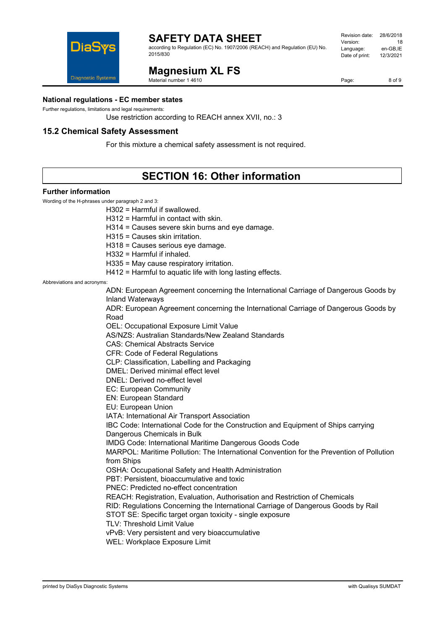

according to Regulation (EC) No. 1907/2006 (REACH) and Regulation (EU) No. 2015/830

#### Revision date: 28/6/2018 Version: <mark>18</mark><br>I anguage: مامور en-GB IF Language: en-GB,IE<br>Date of print: 12/3/2021 Date of print:

**Magnesium XL FS**

Material number 1 4610

Page: 8 of 9

#### **National regulations - EC member states**

Further regulations, limitations and legal requirements:

Use restriction according to REACH annex XVII, no.: 3

### **15.2 Chemical Safety Assessment**

For this mixture a chemical safety assessment is not required.

## **SECTION 16: Other information**

#### **Further information**

Wording of the H-phrases under paragraph 2 and 3:

H302 = Harmful if swallowed. H312 = Harmful in contact with skin.

H314 = Causes severe skin burns and eye damage.

H315 = Causes skin irritation.

H318 = Causes serious eye damage.

H332 = Harmful if inhaled.

- H335 = May cause respiratory irritation.
- H412 = Harmful to aquatic life with long lasting effects.

Abbreviations and acronyms:

ADN: European Agreement concerning the International Carriage of Dangerous Goods by Inland Waterways

ADR: European Agreement concerning the International Carriage of Dangerous Goods by Road

OEL: Occupational Exposure Limit Value

AS/NZS: Australian Standards/New Zealand Standards

CAS: Chemical Abstracts Service

CFR: Code of Federal Regulations

CLP: Classification, Labelling and Packaging

DMEL: Derived minimal effect level

DNEL: Derived no-effect level

EC: European Community

EN: European Standard

EU: European Union

IATA: International Air Transport Association

IBC Code: International Code for the Construction and Equipment of Ships carrying Dangerous Chemicals in Bulk

IMDG Code: International Maritime Dangerous Goods Code

MARPOL: Maritime Pollution: The International Convention for the Prevention of Pollution from Ships

OSHA: Occupational Safety and Health Administration

PBT: Persistent, bioaccumulative and toxic

PNEC: Predicted no-effect concentration

REACH: Registration, Evaluation, Authorisation and Restriction of Chemicals

RID: Regulations Concerning the International Carriage of Dangerous Goods by Rail

STOT SE: Specific target organ toxicity - single exposure

TLV: Threshold Limit Value

vPvB: Very persistent and very bioaccumulative

WEL: Workplace Exposure Limit